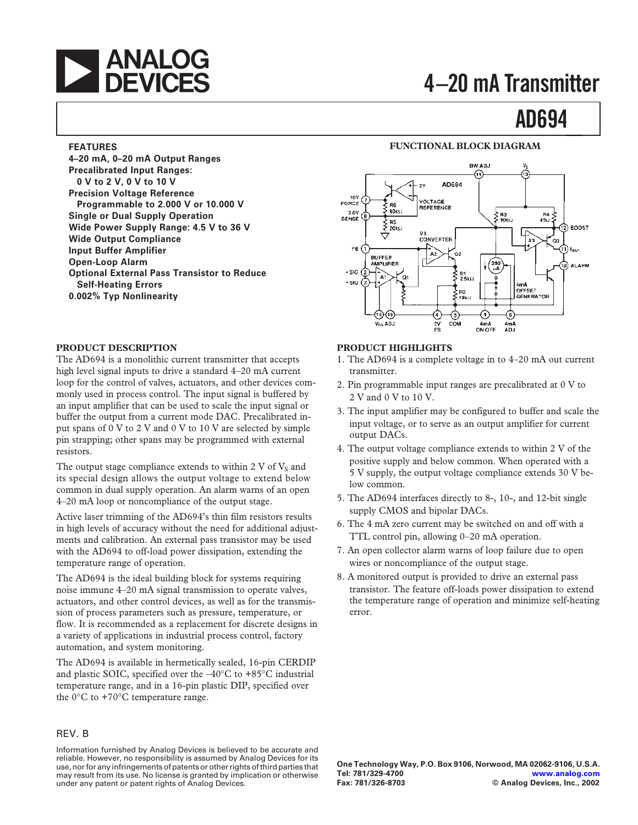# **ANALOG**<br> **A** DEVICES 4-20 mA Transmitter

# **AD694**

#### **FEATURES**

**4–20 mA, 0–20 mA Output Ranges Precalibrated Input Ranges: 0 V to 2 V, 0 V to 10 V Precision Voltage Reference Programmable to 2.000 V or 10.000 V Single or Dual Supply Operation Wide Power Supply Range: 4.5 V to 36 V Wide Output Compliance Input Buffer Amplifier Open-Loop Alarm Optional External Pass Transistor to Reduce Self-Heating Errors 0.002% Typ Nonlinearity**

#### **PRODUCT DESCRIPTION**

The AD694 is a monolithic current transmitter that accepts high level signal inputs to drive a standard  $4-20$  mA current loop for the control of valves, actuators, and other devices commonly used in process control. The input signal is buffered by an input amplifier that can be used to scale the input signal or buffer the output from a current mode DAC. Precalibrated input spans of 0 V to 2 V and 0 V to 10 V are selected by simple pin strapping; other spans may be programmed with external resistors.

The output stage compliance extends to within 2 V of  $V<sub>S</sub>$  and its special design allows the output voltage to extend below common in dual supply operation. An alarm warns of an open 4–20 mA loop or noncompliance of the output stage.

Active laser trimming of the AD694's thin film resistors results in high levels of accuracy without the need for additional adjustments and calibration. An external pass transistor may be used with the AD694 to off-load power dissipation, extending the temperature range of operation.

The AD694 is the ideal building block for systems requiring noise immune 4–20 mA signal transmission to operate valves, actuators, and other control devices, as well as for the transmission of process parameters such as pressure, temperature, or flow. It is recommended as a replacement for discrete designs in a variety of applications in industrial process control, factory automation, and system monitoring.

The AD694 is available in hermetically sealed, 16-pin CERDIP and plastic SOIC, specified over the –40°C to +85°C industrial temperature range, and in a 16-pin plastic DIP, specified over the  $0^{\circ}$ C to +70 $^{\circ}$ C temperature range.

#### REV. B

Information furnished by Analog Devices is believed to be accurate and reliable. However, no responsibility is assumed by Analog Devices for its use, nor for any infringements of patents or other rights of third parties that may result from its use. No license is granted by implication or otherwise under any patent or patent rights of Analog Devices.



**FUNCTIONAL BLOCK DIAGRAM**

#### **PRODUCT HIGHLIGHTS**

- 1. The AD694 is a complete voltage in to 4–20 mA out current transmitter.
- 2. Pin programmable input ranges are precalibrated at 0 V to 2 V and 0 V to 10 V.
- 3. The input amplifier may be configured to buffer and scale the input voltage, or to serve as an output amplifier for current output DACs.
- 4. The output voltage compliance extends to within 2 V of the positive supply and below common. When operated with a 5 V supply, the output voltage compliance extends 30 V below common.
- 5. The AD694 interfaces directly to 8-, 10-, and 12-bit single supply CMOS and bipolar DACs.
- 6. The 4 mA zero current may be switched on and off with a TTL control pin, allowing 0–20 mA operation.
- 7. An open collector alarm warns of loop failure due to open wires or noncompliance of the output stage.
- 8. A monitored output is provided to drive an external pass transistor. The feature off-loads power dissipation to extend the temperature range of operation and minimize self-heating error.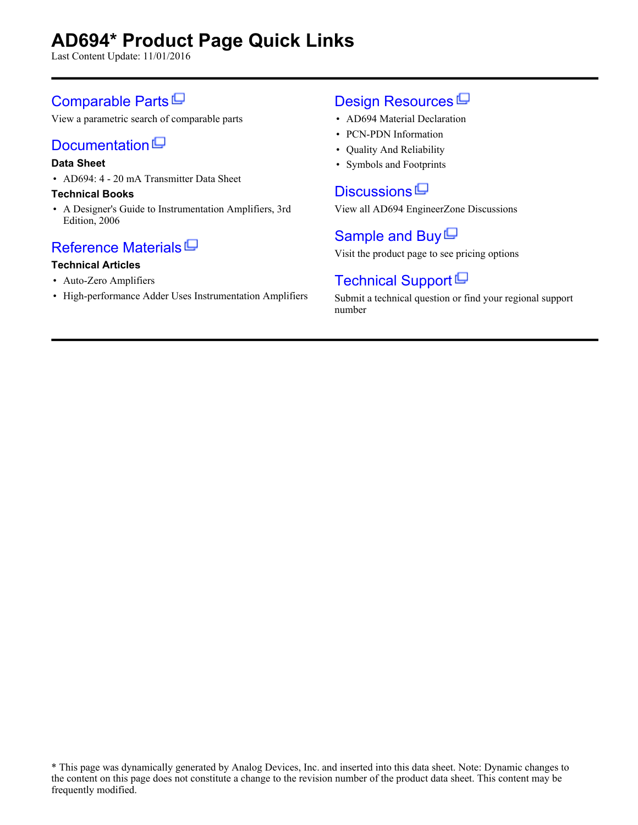# **AD694\* Product Page Quick Links**

Last Content Update: 11/01/2016

## [Comparable Parts](http://www.analog.com/parametricsearch/en/11080?doc=ad694.pdf&p0=1&lsrc=pst)<sup>[1]</sup>

View a parametric search of comparable parts

# [Documentation](http://www.analog.com/ad694/documentation?doc=ad694.pdf&p0=1&lsrc=doc)<sup>[C]</sup>

#### **Data Sheet**

• AD694: 4 - 20 mA Transmitter Data Sheet

#### **Technical Books**

• A Designer's Guide to Instrumentation Amplifiers, 3rd Edition, 2006

## [Reference Materials](http://www.analog.com/ad694/referencematerials?doc=ad694.pdf&p0=1&lsrc=rm)<sup>ID</sup>

#### **Technical Articles**

- Auto-Zero Amplifiers
- High-performance Adder Uses Instrumentation Amplifiers

# [Design Resources](http://www.analog.com/ad694/designsources?doc=ad694.pdf&p0=1&lsrc=dr)<sup>[D]</sup>

- AD694 Material Declaration
- PCN-PDN Information
- Quality And Reliability
- Symbols and Footprints

### [Discussions](http://www.analog.com/ad694/discussions?doc=ad694.pdf&p0=1&lsrc=disc)  $\Box$

View all AD694 EngineerZone Discussions

### [Sample and Buy](http://www.analog.com/ad694/sampleandbuy?doc=ad694.pdf&p0=1&lsrc=sb)  $\Box$

Visit the product page to see pricing options

## [Technical Support](http://www.analog.com/support/technical-support.html?doc=ad694.pdf&p0=1&lsrc=techs)<sup>[]</sup>

Submit a technical question or find your regional support number

<sup>\*</sup> This page was dynamically generated by Analog Devices, Inc. and inserted into this data sheet. Note: Dynamic changes to the content on this page does not constitute a change to the revision number of the product data sheet. This content may be frequently modified.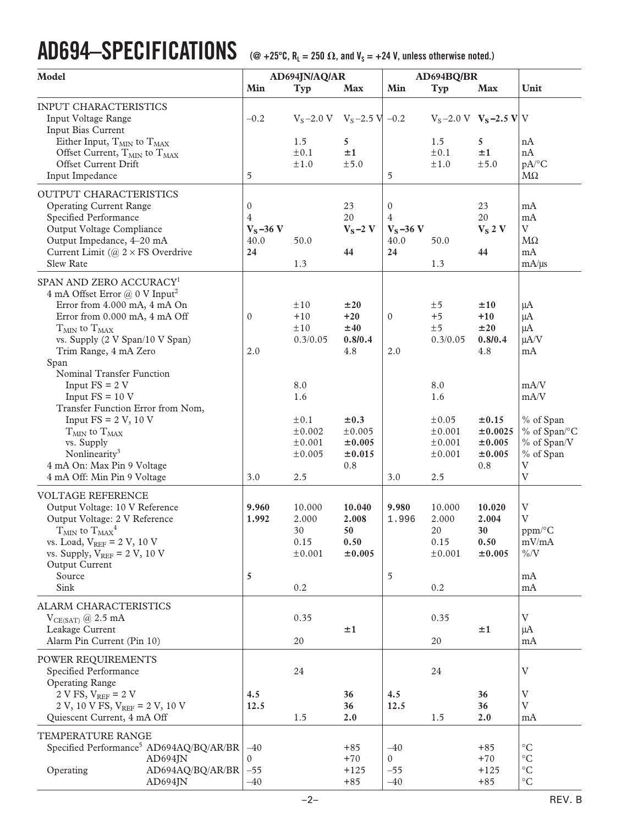# $\bf{AD694{\rm -}SPECIFICATIONS}$  ( $@+25^\circ C, R_L=250\ \Omega,$  and  $V_s=+24\ V,$  unless otherwise noted.)

| Model                                                                                                                                                                                                                                                                        | AD694JN/AQ/AR                                                |                                                              | AD694BQ/BR                                     |                                                |                                                                  |                                                            |                                                                                                                      |
|------------------------------------------------------------------------------------------------------------------------------------------------------------------------------------------------------------------------------------------------------------------------------|--------------------------------------------------------------|--------------------------------------------------------------|------------------------------------------------|------------------------------------------------|------------------------------------------------------------------|------------------------------------------------------------|----------------------------------------------------------------------------------------------------------------------|
|                                                                                                                                                                                                                                                                              | Min                                                          | Typ                                                          | <b>Max</b>                                     | Min                                            | Typ                                                              | <b>Max</b>                                                 | Unit                                                                                                                 |
| <b>INPUT CHARACTERISTICS</b><br>Input Voltage Range<br>Input Bias Current                                                                                                                                                                                                    | $-0.2$                                                       | $V_S - 2.0 V$ $V_S - 2.5 V$ -0.2                             |                                                |                                                |                                                                  | $V_S - 2.0 V$ $V_S - 2.5 V V$                              |                                                                                                                      |
| Either Input, $\rm T_{MIN}$ to $\rm T_{MAX}$<br>Offset Current, $T_{MIN}$ to $T_{MAX}$                                                                                                                                                                                       |                                                              | 1.5<br>±0.1                                                  | 5<br>±1                                        |                                                | 1.5<br>$\pm 0.1$                                                 | 5<br>±1                                                    | nA<br>nA                                                                                                             |
| Offset Current Drift<br>Input Impedance                                                                                                                                                                                                                                      | 5                                                            | ±1.0                                                         | ±5.0                                           | 5                                              | $\pm 1.0$                                                        | ±5.0                                                       | pA/°C<br>$M\Omega$                                                                                                   |
| OUTPUT CHARACTERISTICS<br><b>Operating Current Range</b><br>Specified Performance<br>Output Voltage Compliance<br>Output Impedance, 4-20 mA<br>Current Limit ( $@ 2 \times FS$ Overdrive<br><b>Slew Rate</b>                                                                 | $\mathbf{0}$<br>$\overline{4}$<br>$V_S - 36 V$<br>40.0<br>24 | 50.0<br>1.3                                                  | 23<br>20<br>$V_S - 2V$<br>44                   | $\mathbf{0}$<br>4<br>$V_S$ -36 V<br>40.0<br>24 | 50.0<br>1.3                                                      | 23<br>20<br>$V_S$ 2 V<br>44                                | mA<br>mA<br>$\mathbf V$<br>$M\Omega$<br>mA<br>mA/µs                                                                  |
| SPAN AND ZERO ACCURACY <sup>1</sup><br>4 mA Offset Error $@$ 0 V Input <sup>2</sup><br>Error from 4.000 mA, 4 mA On<br>Error from 0.000 mA, 4 mA Off<br>$T_{MIN}$ to $T_{MAX}$<br>vs. Supply (2 V Span/10 V Span)<br>Trim Range, 4 mA Zero                                   | $\mathbf{0}$<br>2.0                                          | $\pm 10$<br>$+10$<br>±10<br>0.3/0.05                         | ±20<br>$+20$<br>±40<br>0.8/0.4<br>4.8          | $\mathbf{0}$<br>2.0                            | ±5<br>$+5$<br>±5<br>0.3/0.05                                     | ±10<br>$+10$<br>±20<br>0.8/0.4<br>4.8                      | μA<br>μA<br>μA<br>$\mu A/V$<br>mA                                                                                    |
| Span<br>Nominal Transfer Function<br>Input $FS = 2 V$<br>Input $FS = 10 V$<br>Transfer Function Error from Nom,<br>Input $FS = 2 V$ , 10 V<br>$T_{MIN}$ to $T_{MAX}$<br>vs. Supply<br>Nonlinearity <sup>3</sup><br>4 mA On: Max Pin 9 Voltage<br>4 mA Off: Min Pin 9 Voltage | 3.0                                                          | 8.0<br>1.6<br>±0.1<br>±0.002<br>$\pm 0.001$<br>±0.005<br>2.5 | $\pm 0.3$<br>±0.005<br>±0.005<br>±0.015<br>0.8 | 3.0                                            | 8.0<br>1.6<br>$\pm 0.05$<br>± 0.001<br>± 0.001<br>± 0.001<br>2.5 | $\pm 0.15$<br>±0.0025<br>$\pm 0.005$<br>$\pm 0.005$<br>0.8 | mA/V<br>mA/V<br>% of Span<br>% of Span/°C<br>% of Span/V<br>% of Span<br>$\boldsymbol{\mathrm{V}}$<br>$\overline{V}$ |
| <b>VOLTAGE REFERENCE</b><br>Output Voltage: 10 V Reference<br>Output Voltage: 2 V Reference<br>$T_{\text{MIN}}$ to $T_{\text{MAX}}^4$<br>vs. Load, $V_{REF}$ = 2 V, 10 V<br>vs. Supply, $V_{REF}$ = 2 V, 10 V<br>Output Current<br>Source<br>Sink                            | 9.960<br>1.992<br>5                                          | 10.000<br>2.000<br>30<br>0.15<br>± 0.001<br>$0.2\,$          | 10.040<br>2.008<br>50<br>0.50<br>$\pm 0.005$   | 9.980<br>1.996<br>5                            | 10.000<br>2.000<br>20<br>0.15<br>± 0.001<br>$0.2\,$              | 10.020<br>2.004<br>30<br>0.50<br>±0.005                    | $\ensuremath{\mathbf{V}}$<br>$\overline{V}$<br>$ppm$ /°C<br>mV/mA<br>$\% / \mathrm{V}$<br>mA<br>mA                   |
| ALARM CHARACTERISTICS<br>$V_{CE(SAT)} @ 2.5 mA$<br>Leakage Current<br>Alarm Pin Current (Pin 10)                                                                                                                                                                             |                                                              | 0.35<br>20                                                   | ±1                                             |                                                | 0.35<br>20                                                       | ±1                                                         | $\ensuremath{\text{V}}$<br>μA<br>mA                                                                                  |
| POWER REQUIREMENTS<br>Specified Performance<br><b>Operating Range</b>                                                                                                                                                                                                        |                                                              | 24                                                           |                                                |                                                | 24                                                               |                                                            | V                                                                                                                    |
| 2 V FS, $V_{REF}$ = 2 V<br>2 V, 10 V FS, $V_{REF}$ = 2 V, 10 V<br>Quiescent Current, 4 mA Off                                                                                                                                                                                | 4.5<br>12.5                                                  | 1.5                                                          | 36<br>36<br>2.0                                | 4.5<br>12.5                                    | 1.5                                                              | 36<br>36<br>2.0                                            | V<br>$\mathbf V$<br>mA                                                                                               |
| TEMPERATURE RANGE<br>Specified Performance <sup>5</sup> AD694AQ/BQ/AR/BR<br>AD694JN                                                                                                                                                                                          | $-40$<br>$\overline{0}$                                      |                                                              | $+85$<br>$+70$                                 | $-40$<br>$\overline{0}$                        |                                                                  | $+85$<br>$+70$                                             | $\rm ^{\circ}C$<br>$^{\circ}{\rm C}$                                                                                 |
| Operating<br>AD694AQ/BQ/AR/BR<br>AD694JN                                                                                                                                                                                                                                     | $-55$<br>$-40$                                               |                                                              | $+125$<br>$+85$                                | $-55$<br>$-40$                                 |                                                                  | $+125$<br>$+85$                                            | $^{\circ}{\rm C}$<br>$^{\circ}{\rm C}$                                                                               |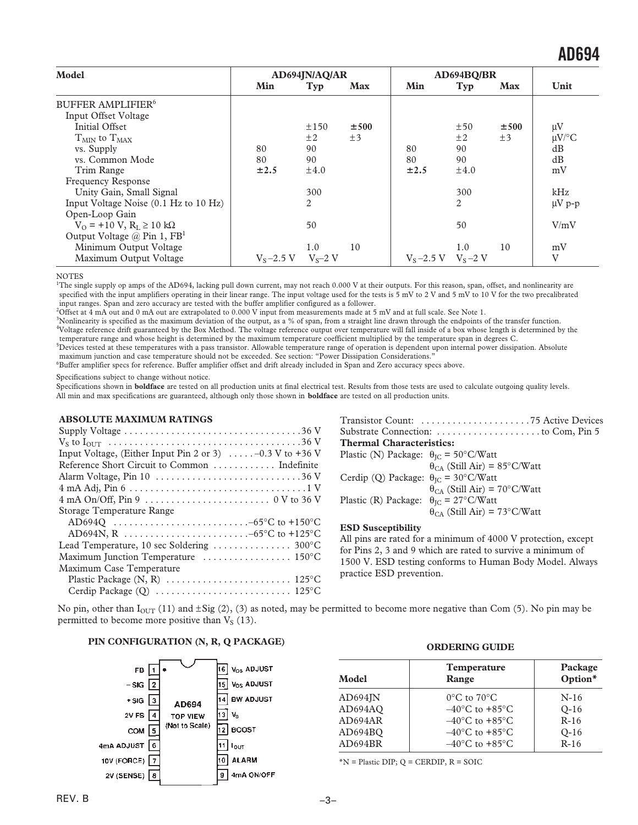| Model                                          | AD694JN/AQ/AR |             | AD694BO/BR |                           |           |            |             |
|------------------------------------------------|---------------|-------------|------------|---------------------------|-----------|------------|-------------|
|                                                | Min           | Typ         | <b>Max</b> | Min                       | Typ       | <b>Max</b> | Unit        |
| <b>BUFFER AMPLIFIER<sup>6</sup></b>            |               |             |            |                           |           |            |             |
| Input Offset Voltage                           |               |             |            |                           |           |            |             |
| Initial Offset                                 |               | $\pm 150$   | ±500       |                           | ±50       | ±500       | $\mu$ V     |
| $T_{MN}$ to $T_{MAX}$                          |               | ±2          | $\pm 3$    |                           | $\pm 2$   | $\pm 3$    | $\mu$ V/°C  |
| vs. Supply                                     | 80            | 90          |            | 80                        | 90        |            | dB          |
| vs. Common Mode                                | 80            | 90          |            | 80                        | 90        |            | dB          |
| Trim Range                                     | ±2.5          | $\pm 4.0$   |            | $\pm 2.5$                 | $\pm 4.0$ |            | mV          |
| <b>Frequency Response</b>                      |               |             |            |                           |           |            |             |
| Unity Gain, Small Signal                       |               | 300         |            |                           | 300       |            | kHz         |
| Input Voltage Noise (0.1 Hz to 10 Hz)          |               | 2           |            |                           | 2         |            | $\mu V$ p-p |
| Open-Loop Gain                                 |               |             |            |                           |           |            |             |
| $V_O$ = +10 V, $R_I \ge 10$ kΩ                 |               | 50          |            |                           | 50        |            | V/mV        |
| Output Voltage $\omega$ Pin 1, FB <sup>1</sup> |               |             |            |                           |           |            |             |
| Minimum Output Voltage                         |               | 1.0         | 10         |                           | 1.0       | 10         | mV          |
| Maximum Output Voltage                         | $V_s - 2.5 V$ | $V_s - 2 V$ |            | $V_s - 2.5 V$ $V_s - 2 V$ |           |            | V           |

**NOTES** 

<sup>1</sup>The single supply op amps of the AD694, lacking pull down current, may not reach 0.000 V at their outputs. For this reason, span, offset, and nonlinearity are specified with the input amplifiers operating in their linear range. The input voltage used for the tests is 5 mV to 2 V and 5 mV to 10 V for the two precalibrated input ranges. Span and zero accuracy are tested with the buffer amplifier configured as a follower.

2 Offset at 4 mA out and 0 mA out are extrapolated to 0.000 V input from measurements made at 5 mV and at full scale. See Note 1.

3 Nonlinearity is specified as the maximum deviation of the output, as a % of span, from a straight line drawn through the endpoints of the transfer function. 4 Voltage reference drift guaranteed by the Box Method. The voltage reference output over temperature will fall inside of a box whose length is determined by the temperature range and whose height is determined by the maximum temperature coefficient multiplied by the temperature span in degrees C.

5 Devices tested at these temperatures with a pass transistor. Allowable temperature range of operation is dependent upon internal power dissipation. Absolute maximum junction and case temperature should not be exceeded. See section: "Power Dissipation Considerations."

6 Buffer amplifier specs for reference. Buffer amplifier offset and drift already included in Span and Zero accuracy specs above.

Specifications subject to change without notice.

Specifications shown in **boldface** are tested on all production units at final electrical test. Results from those tests are used to calculate outgoing quality levels. All min and max specifications are guaranteed, although only those shown in **boldface** are tested on all production units.

#### **ABSOLUTE MAXIMUM RATINGS**

| Input Voltage, (Either Input Pin 2 or 3) $\ldots$ -0.3 V to +36 V       |
|-------------------------------------------------------------------------|
| Reference Short Circuit to Common  Indefinite                           |
|                                                                         |
|                                                                         |
|                                                                         |
| Storage Temperature Range                                               |
|                                                                         |
|                                                                         |
| Lead Temperature, 10 sec Soldering $\ldots \ldots \ldots \ldots$ 300 °C |
| Maximum Junction Temperature  150°C                                     |
| Maximum Case Temperature                                                |
|                                                                         |
|                                                                         |
|                                                                         |

| <b>Thermal Characteristics:</b> |  |
|---------------------------------|--|
|                                 |  |
|                                 |  |

| Plastic (N) Package: $\theta_{\text{IC}} = 50^{\circ}$ C/Watt        |                                       |
|----------------------------------------------------------------------|---------------------------------------|
|                                                                      | $\theta_{CA}$ (Still Air) = 85°C/Watt |
| Cerdip (Q) Package: $\theta_{\text{IC}} = 30^{\circ}$ C/Watt         |                                       |
|                                                                      | $\theta_{CA}$ (Still Air) = 70°C/Watt |
| Plastic (R) Package: $\theta_{\text{IC}} = 27^{\circ} \text{C/Watt}$ |                                       |
|                                                                      | $\theta_{CA}$ (Still Air) = 73°C/Watt |

#### **ESD Susceptibility**

All pins are rated for a minimum of 4000 V protection, except for Pins 2, 3 and 9 which are rated to survive a minimum of 1500 V. ESD testing conforms to Human Body Model. Always practice ESD prevention.

No pin, other than  $I_{\text{OUT}}(11)$  and  $\pm \text{Sig}(2)$ , (3) as noted, may be permitted to become more negative than Com (5). No pin may be permitted to become more positive than  $V<sub>S</sub>$  (13).

#### **PIN CONFIGURATION (N, R, Q PACKAGE)**



| <b>ORDERING GUIDE</b> |  |
|-----------------------|--|
|-----------------------|--|

| Model       | <b>Temperature</b><br>Range        | Package<br>Option* |  |
|-------------|------------------------------------|--------------------|--|
| $AD694$ $N$ | $0^{\circ}$ C to $70^{\circ}$ C    | $N-16$             |  |
| AD694AQ     | $-40^{\circ}$ C to $+85^{\circ}$ C | $O-16$             |  |
| AD694AR     | $-40^{\circ}$ C to $+85^{\circ}$ C | $R-16$             |  |
| AD694BQ     | $-40^{\circ}$ C to $+85^{\circ}$ C | $O-16$             |  |
| AD694BR     | $-40^{\circ}$ C to $+85^{\circ}$ C | $R-16$             |  |
|             |                                    |                    |  |

 $*N =$  Plastic DIP;  $Q =$  CERDIP,  $R =$  SOIC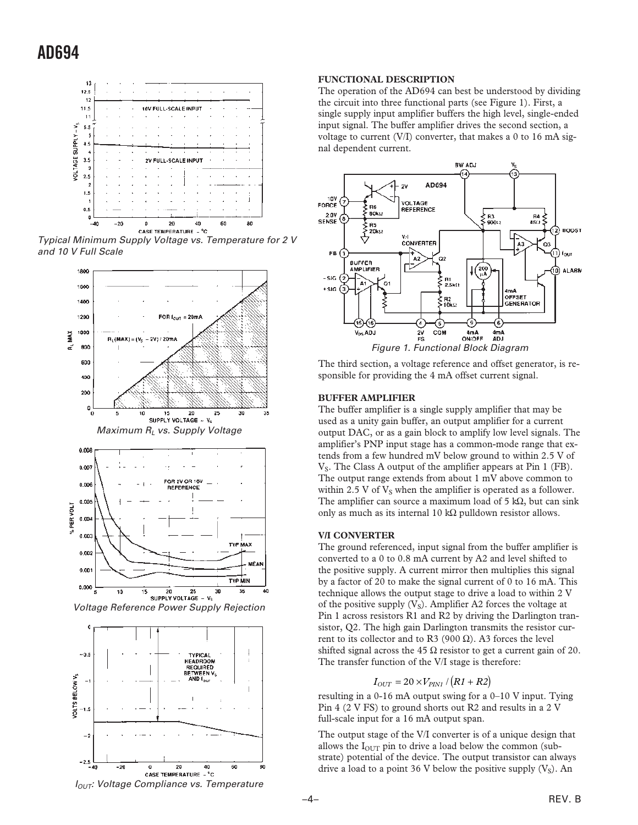

Typical Minimum Supply Voltage vs. Temperature for 2 V and 10 V Full Scale





#### **FUNCTIONAL DESCRIPTION**

The operation of the AD694 can best be understood by dividing the circuit into three functional parts (see Figure 1). First, a single supply input amplifier buffers the high level, single-ended input signal. The buffer amplifier drives the second section, a voltage to current (V/I) converter, that makes a 0 to 16 mA signal dependent current.



The third section, a voltage reference and offset generator, is responsible for providing the 4 mA offset current signal.

#### **BUFFER AMPLIFIER**

The buffer amplifier is a single supply amplifier that may be used as a unity gain buffer, an output amplifier for a current output DAC, or as a gain block to amplify low level signals. The amplifier's PNP input stage has a common-mode range that extends from a few hundred mV below ground to within 2.5 V of  $V<sub>S</sub>$ . The Class A output of the amplifier appears at Pin 1 (FB). The output range extends from about 1 mV above common to within 2.5 V of  $V_s$  when the amplifier is operated as a follower. The amplifier can source a maximum load of  $5 \text{ k}\Omega$ , but can sink only as much as its internal 10 kΩ pulldown resistor allows.

#### **V/I CONVERTER**

The ground referenced, input signal from the buffer amplifier is converted to a 0 to 0.8 mA current by A2 and level shifted to the positive supply. A current mirror then multiplies this signal by a factor of 20 to make the signal current of 0 to 16 mA. This technique allows the output stage to drive a load to within 2 V of the positive supply  $(V<sub>S</sub>)$ . Amplifier A2 forces the voltage at Pin 1 across resistors R1 and R2 by driving the Darlington transistor, Q2. The high gain Darlington transmits the resistor current to its collector and to R3 (900 Ω). A3 forces the level shifted signal across the 45  $\Omega$  resistor to get a current gain of 20. The transfer function of the V/I stage is therefore:

$$
I_{OUT} = 20 \times V_{PIN1} / (R1 + R2)
$$

resulting in a 0-16 mA output swing for a 0–10 V input. Tying Pin 4 (2 V FS) to ground shorts out R2 and results in a 2 V full-scale input for a 16 mA output span.

The output stage of the V/I converter is of a unique design that allows the  $I<sub>OUT</sub>$  pin to drive a load below the common (substrate) potential of the device. The output transistor can always drive a load to a point 36 V below the positive supply  $(V<sub>S</sub>)$ . An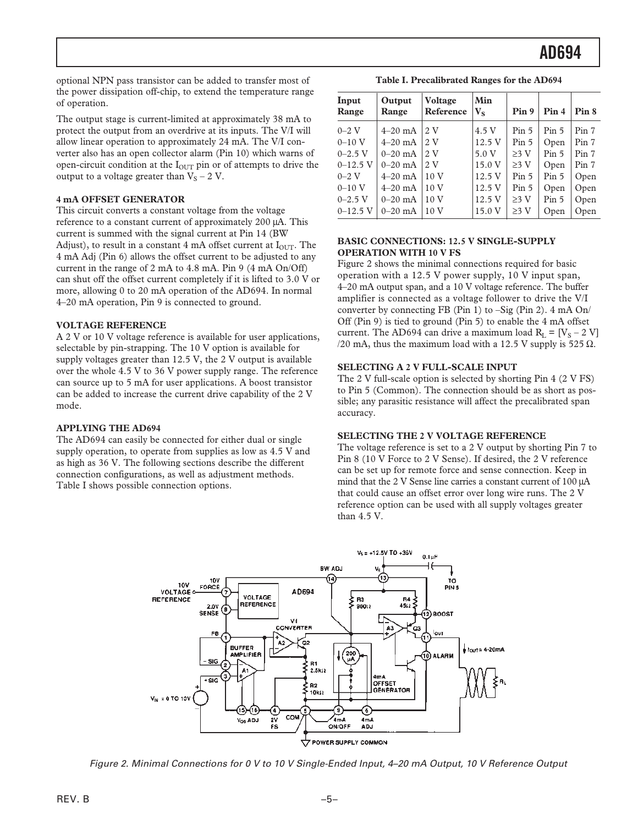optional NPN pass transistor can be added to transfer most of the power dissipation off-chip, to extend the temperature range of operation.

The output stage is current-limited at approximately 38 mA to protect the output from an overdrive at its inputs. The V/I will allow linear operation to approximately 24 mA. The V/I converter also has an open collector alarm (Pin 10) which warns of open-circuit condition at the  $I<sub>OUT</sub>$  pin or of attempts to drive the output to a voltage greater than  $V_S - 2 V$ .

#### **4 mA OFFSET GENERATOR**

This circuit converts a constant voltage from the voltage reference to a constant current of approximately 200 µA. This current is summed with the signal current at Pin 14 (BW Adjust), to result in a constant 4 mA offset current at  $I<sub>OUT</sub>$ . The 4 mA Adj (Pin 6) allows the offset current to be adjusted to any current in the range of 2 mA to 4.8 mA. Pin 9 (4 mA On/Off) can shut off the offset current completely if it is lifted to 3.0 V or more, allowing 0 to 20 mA operation of the AD694. In normal 4–20 mA operation, Pin 9 is connected to ground.

#### **VOLTAGE REFERENCE**

A 2 V or 10 V voltage reference is available for user applications, selectable by pin-strapping. The 10 V option is available for supply voltages greater than 12.5 V, the 2 V output is available over the whole 4.5 V to 36 V power supply range. The reference can source up to 5 mA for user applications. A boost transistor can be added to increase the current drive capability of the 2 V mode.

#### **APPLYING THE AD694**

The AD694 can easily be connected for either dual or single supply operation, to operate from supplies as low as 4.5 V and as high as 36 V. The following sections describe the different connection configurations, as well as adjustment methods. Table I shows possible connection options.

**Table I. Precalibrated Ranges for the AD694**

| Input<br>Range | Output<br>Range | <b>Voltage</b><br>Reference | Min<br>$V_s$ | Pin 9            | Pin 4            | Pin 8 |
|----------------|-----------------|-----------------------------|--------------|------------------|------------------|-------|
| $0 - 2$ V      | $4-20$ mA       | 2 V                         | 4.5 V        | Pin 5            | Pin <sub>5</sub> | Pin 7 |
| $0 - 10$ V     | $4-20$ mA       | 2V                          | 12.5 V       | Pin <sub>5</sub> | Open             | Pin 7 |
| $0-2.5$ V      | $0 - 20$ mA     | 2 V                         | 5.0 V        | $>3$ V           | Pin <sub>5</sub> | Pin 7 |
| $0-12.5$ V     | $0 - 20$ mA     | 2V                          | 15.0 V       | $\geq$ 3 V       | Open             | Pin 7 |
| $0 - 2$ V      | $4 - 20$ mA     | 10 <sub>V</sub>             | 12.5 V       | Pin <sub>5</sub> | Pin <sub>5</sub> | Open  |
| $0 - 10$ V     | $4 - 20$ mA     | 10 <sub>V</sub>             | 12.5 V       | Pin 5            | Open             | Open  |
| $0 - 2.5$ V    | $0 - 20$ mA     | 10 <sub>V</sub>             | 12.5V        | $\geq$ 3 V       | Pin <sub>5</sub> | Open  |
| $0 - 12.5$ V   | $0 - 20$ mA     | 10 <sub>V</sub>             | 15.0 V       | $\geq$ 3 V       | Open             | Open  |

#### **BASIC CONNECTIONS: 12.5 V SINGLE-SUPPLY OPERATION WITH 10 V FS**

Figure 2 shows the minimal connections required for basic operation with a 12.5 V power supply, 10 V input span, 4–20 mA output span, and a 10 V voltage reference. The buffer amplifier is connected as a voltage follower to drive the V/I converter by connecting FB (Pin 1) to –Sig (Pin 2). 4 mA On/ Off (Pin 9) is tied to ground (Pin 5) to enable the 4 mA offset current. The AD694 can drive a maximum load  $R_I = [V_S - 2 V]$ /20 mA, thus the maximum load with a 12.5 V supply is 525  $\Omega$ .

#### **SELECTING A 2 V FULL-SCALE INPUT**

The 2 V full-scale option is selected by shorting Pin 4 (2 V FS) to Pin 5 (Common). The connection should be as short as possible; any parasitic resistance will affect the precalibrated span accuracy.

#### **SELECTING THE 2 V VOLTAGE REFERENCE**

The voltage reference is set to a 2 V output by shorting Pin 7 to Pin 8 (10 V Force to 2 V Sense). If desired, the 2 V reference can be set up for remote force and sense connection. Keep in mind that the 2 V Sense line carries a constant current of 100 µA that could cause an offset error over long wire runs. The 2 V reference option can be used with all supply voltages greater than 4.5 V.



Figure 2. Minimal Connections for 0 V to 10 V Single-Ended Input, 4–20 mA Output, 10 V Reference Output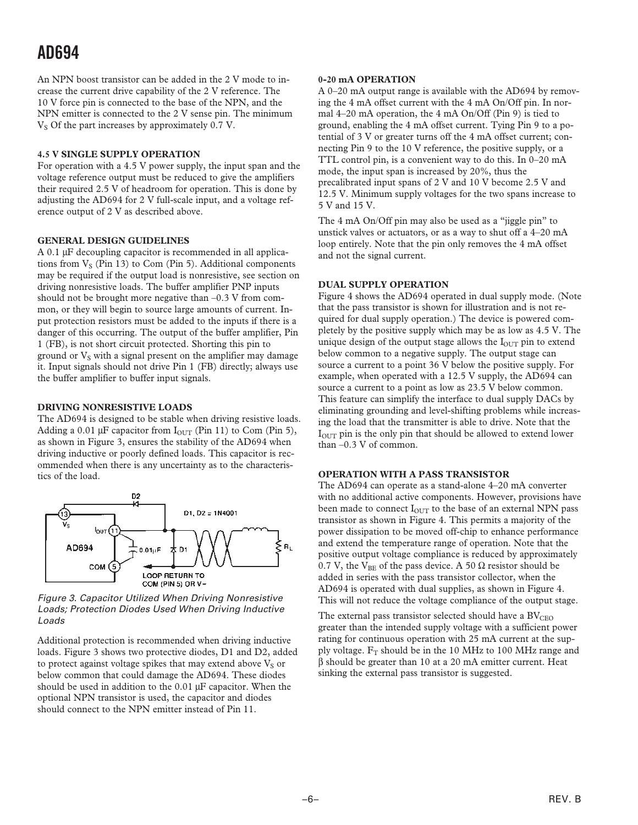An NPN boost transistor can be added in the 2 V mode to increase the current drive capability of the 2 V reference. The 10 V force pin is connected to the base of the NPN, and the NPN emitter is connected to the 2 V sense pin. The minimum V<sub>S</sub> Of the part increases by approximately 0.7 V.

#### **4.5 V SINGLE SUPPLY OPERATION**

For operation with a 4.5 V power supply, the input span and the voltage reference output must be reduced to give the amplifiers their required 2.5 V of headroom for operation. This is done by adjusting the AD694 for 2 V full-scale input, and a voltage reference output of 2 V as described above.

#### **GENERAL DESIGN GUIDELINES**

A 0.1 µF decoupling capacitor is recommended in all applications from  $V_S$  (Pin 13) to Com (Pin 5). Additional components may be required if the output load is nonresistive, see section on driving nonresistive loads. The buffer amplifier PNP inputs should not be brought more negative than –0.3 V from common, or they will begin to source large amounts of current. Input protection resistors must be added to the inputs if there is a danger of this occurring. The output of the buffer amplifier, Pin 1 (FB), is not short circuit protected. Shorting this pin to ground or  $V_S$  with a signal present on the amplifier may damage it. Input signals should not drive Pin 1 (FB) directly; always use the buffer amplifier to buffer input signals.

#### **DRIVING NONRESISTIVE LOADS**

The AD694 is designed to be stable when driving resistive loads. Adding a 0.01 µF capacitor from  $I_{\text{OUT}}$  (Pin 11) to Com (Pin 5), as shown in Figure 3, ensures the stability of the AD694 when driving inductive or poorly defined loads. This capacitor is recommended when there is any uncertainty as to the characteristics of the load.



Figure 3. Capacitor Utilized When Driving Nonresistive Loads; Protection Diodes Used When Driving Inductive Loads

Additional protection is recommended when driving inductive loads. Figure 3 shows two protective diodes, D1 and D2, added to protect against voltage spikes that may extend above  $V_S$  or below common that could damage the AD694. These diodes should be used in addition to the  $0.01 \mu$ F capacitor. When the optional NPN transistor is used, the capacitor and diodes should connect to the NPN emitter instead of Pin 11.

#### **0-20 mA OPERATION**

A 0–20 mA output range is available with the AD694 by removing the 4 mA offset current with the 4 mA On/Off pin. In normal 4–20 mA operation, the 4 mA On/Off (Pin 9) is tied to ground, enabling the 4 mA offset current. Tying Pin 9 to a potential of 3 V or greater turns off the 4 mA offset current; connecting Pin 9 to the 10 V reference, the positive supply, or a TTL control pin, is a convenient way to do this. In 0–20 mA mode, the input span is increased by 20%, thus the precalibrated input spans of 2 V and 10 V become 2.5 V and 12.5 V. Minimum supply voltages for the two spans increase to 5 V and 15 V.

The 4 mA On/Off pin may also be used as a "jiggle pin" to unstick valves or actuators, or as a way to shut off a 4–20 mA loop entirely. Note that the pin only removes the 4 mA offset and not the signal current.

#### **DUAL SUPPLY OPERATION**

Figure 4 shows the AD694 operated in dual supply mode. (Note that the pass transistor is shown for illustration and is not required for dual supply operation.) The device is powered completely by the positive supply which may be as low as 4.5 V. The unique design of the output stage allows the  $I<sub>OUT</sub>$  pin to extend below common to a negative supply. The output stage can source a current to a point 36 V below the positive supply. For example, when operated with a 12.5 V supply, the AD694 can source a current to a point as low as 23.5 V below common. This feature can simplify the interface to dual supply DACs by eliminating grounding and level-shifting problems while increasing the load that the transmitter is able to drive. Note that the  $I<sub>OUT</sub>$  pin is the only pin that should be allowed to extend lower than –0.3 V of common.

#### **OPERATION WITH A PASS TRANSISTOR**

The AD694 can operate as a stand-alone 4–20 mA converter with no additional active components. However, provisions have been made to connect  $I<sub>OUT</sub>$  to the base of an external NPN pass transistor as shown in Figure 4. This permits a majority of the power dissipation to be moved off-chip to enhance performance and extend the temperature range of operation. Note that the positive output voltage compliance is reduced by approximately 0.7 V, the VBE of the pass device. A 50  $\Omega$  resistor should be added in series with the pass transistor collector, when the AD694 is operated with dual supplies, as shown in Figure 4. This will not reduce the voltage compliance of the output stage.

The external pass transistor selected should have a  $\rm BV_{CEO}$ greater than the intended supply voltage with a sufficient power rating for continuous operation with 25 mA current at the supply voltage.  $F_T$  should be in the 10 MHz to 100 MHz range and β should be greater than 10 at a 20 mA emitter current. Heat sinking the external pass transistor is suggested.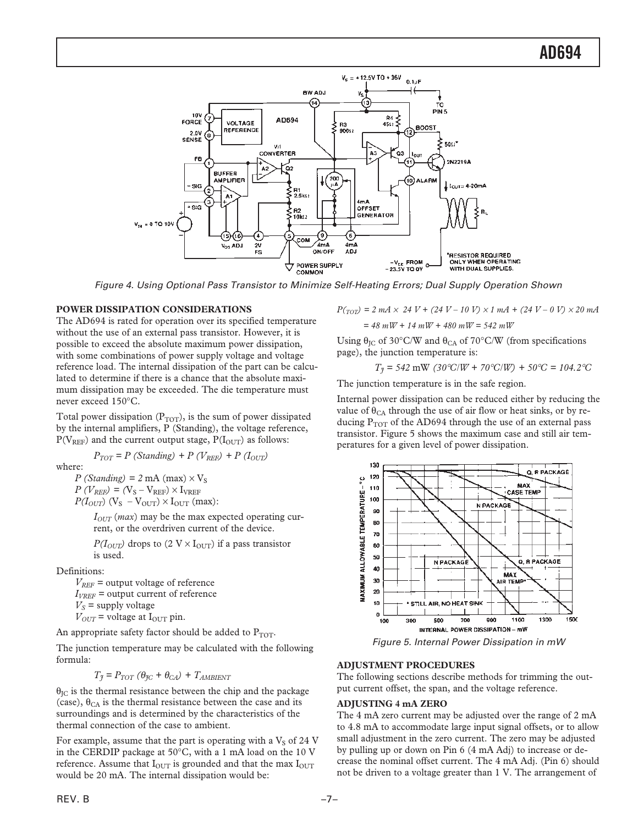

Figure 4. Using Optional Pass Transistor to Minimize Self-Heating Errors; Dual Supply Operation Shown

#### **POWER DISSIPATION CONSIDERATIONS**

The AD694 is rated for operation over its specified temperature without the use of an external pass transistor. However, it is possible to exceed the absolute maximum power dissipation, with some combinations of power supply voltage and voltage reference load. The internal dissipation of the part can be calculated to determine if there is a chance that the absolute maximum dissipation may be exceeded. The die temperature must never exceed 150°C.

Total power dissipation  $(P_{TOT})$ , is the sum of power dissipated by the internal amplifiers, P (Standing), the voltage reference,  $P(V_{REF})$  and the current output stage,  $P(I_{OUT})$  as follows:

$$
P_{TOT} = P (Standing) + P (V_{REF}) + P (I_{OUT})
$$

where:

 $P$  (*Standing*) = 2 mA (max)  $\times$  V<sub>s</sub>  $P(V_{REF}) = (V_S - V_{REF}) \times I_{VREF}$  $P(I_{OUT})$  (V<sub>S</sub> – V<sub>OUT</sub>)  $\times$  I<sub>OUT</sub> (max):

> $I<sub>OUT</sub>$  (*max*) may be the max expected operating current, or the overdriven current of the device.

 $P(I_{OUT})$  drops to (2 V ×  $I_{OUT}$ ) if a pass transistor is used.

Definitions:

 $V_{REF}$  = output voltage of reference  $I_{VREF}$  = output current of reference  $V_S$  = supply voltage  $V_{OUT}$  = voltage at  $I_{OUT}$  pin.

An appropriate safety factor should be added to  $P_{TOT}$ .

The junction temperature may be calculated with the following formula:

 $T_{\tilde{\jmath}} = P_{TOT} (\theta_{\tilde{\jmath}C} + \theta_{CA}) + T_{AMBIENT}$ 

 $\theta_{\text{IC}}$  is the thermal resistance between the chip and the package (case),  $\theta_{CA}$  is the thermal resistance between the case and its surroundings and is determined by the characteristics of the thermal connection of the case to ambient.

For example, assume that the part is operating with a  $V<sub>S</sub>$  of 24 V in the CERDIP package at 50°C, with a 1 mA load on the 10 V reference. Assume that  $I_{\text{OUT}}$  is grounded and that the max  $I_{\text{OUT}}$ would be 20 mA. The internal dissipation would be:

$$
P(r_{\text{O}\text{D}}) = 2 \, \text{mA} \times 24 \, \text{V} + (24 \, \text{V} - 10 \, \text{V}) \times 1 \, \text{mA} + (24 \, \text{V} - 0 \, \text{V}) \times 20 \, \text{mA}
$$
\n
$$
= 48 \, \text{mW} + 14 \, \text{mW} + 480 \, \text{mW} = 542 \, \text{mW}
$$

Using  $\theta_{\text{IC}}$  of 30°C/W and  $\theta_{\text{CA}}$  of 70°C/W (from specifications page), the junction temperature is:

$$
T_{\tilde{J}} = 542 \text{ mW} (30^{\circ}\text{C/W} + 70^{\circ}\text{C/W}) + 50^{\circ}\text{C} = 104.2^{\circ}\text{C}
$$

The junction temperature is in the safe region.

Internal power dissipation can be reduced either by reducing the value of  $\theta_{CA}$  through the use of air flow or heat sinks, or by reducing  $P_{TOT}$  of the AD694 through the use of an external pass transistor. Figure 5 shows the maximum case and still air temperatures for a given level of power dissipation.



Figure 5. Internal Power Dissipation in mW

#### **ADJUSTMENT PROCEDURES**

The following sections describe methods for trimming the output current offset, the span, and the voltage reference.

#### **ADJUSTING 4 mA ZERO**

The 4 mA zero current may be adjusted over the range of 2 mA to 4.8 mA to accommodate large input signal offsets, or to allow small adjustment in the zero current. The zero may be adjusted by pulling up or down on Pin 6 (4 mA Adj) to increase or decrease the nominal offset current. The 4 mA Adj. (Pin 6) should not be driven to a voltage greater than 1 V. The arrangement of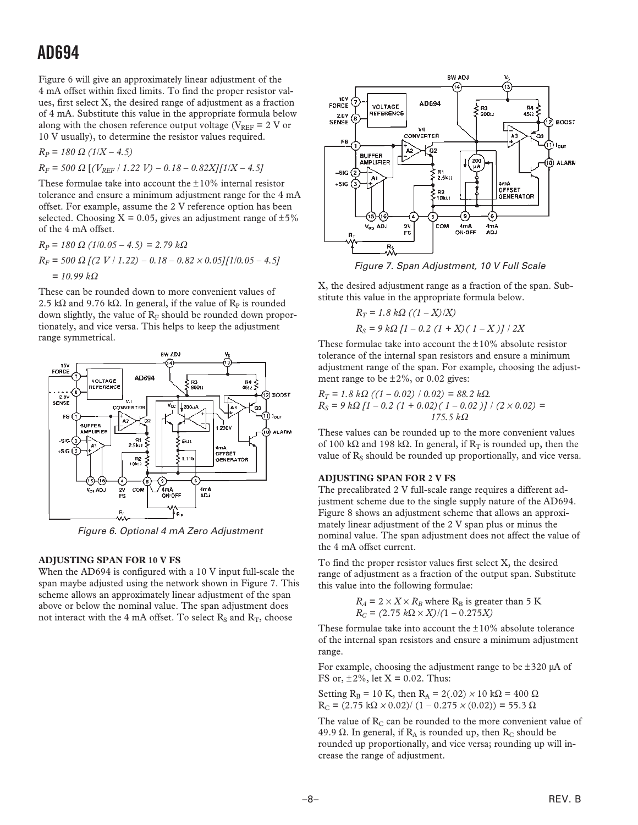Figure 6 will give an approximately linear adjustment of the 4 mA offset within fixed limits. To find the proper resistor values, first select X, the desired range of adjustment as a fraction of 4 mA. Substitute this value in the appropriate formula below along with the chosen reference output voltage ( $V_{REF}$  = 2 V or 10 V usually), to determine the resistor values required.

$$
R_P = 180 \Omega (1/X - 4.5)
$$

 $R_F$  = 500  $\Omega$  [( $V_{REF}$  / 1.22 V) – 0.18 – 0.82X][1/X – 4.5]

These formulae take into account the  $\pm 10\%$  internal resistor tolerance and ensure a minimum adjustment range for the 4 mA offset. For example, assume the 2 V reference option has been selected. Choosing  $X = 0.05$ , gives an adjustment range of  $\pm 5\%$ of the 4 mA offset.

$$
R_P = 180 \Omega (1/0.05 - 4.5) = 2.79 k\Omega
$$
  
\n
$$
R_F = 500 \Omega [(2 V / 1.22) - 0.18 - 0.82 \times 0.05][1/0.05 - 4.5]
$$
  
\n= 10.99 k\Omega

These can be rounded down to more convenient values of 2.5 kΩ and 9.76 kΩ. In general, if the value of  $R_p$  is rounded down slightly, the value of  $R_F$  should be rounded down proportionately, and vice versa. This helps to keep the adjustment range symmetrical.



Figure 6. Optional 4 mA Zero Adjustment

#### **ADJUSTING SPAN FOR 10 V FS**

When the AD694 is configured with a 10 V input full-scale the span maybe adjusted using the network shown in Figure 7. This scheme allows an approximately linear adjustment of the span above or below the nominal value. The span adjustment does not interact with the 4 mA offset. To select  $R_s$  and  $R_T$ , choose



Figure 7. Span Adjustment, 10 V Full Scale

X, the desired adjustment range as a fraction of the span. Substitute this value in the appropriate formula below.

$$
R_T = 1.8 k\Omega ((1 - X)/X)
$$
  
\n
$$
R_S = 9 k\Omega [1 - 0.2 (1 + X) (1 - X)] / 2X
$$

These formulae take into account the  $\pm 10\%$  absolute resistor tolerance of the internal span resistors and ensure a minimum adjustment range of the span. For example, choosing the adjustment range to be  $\pm 2\%$ , or 0.02 gives:

 $R_T = 1.8 k\Omega$  ((1 – 0.02) / 0.02) = 88.2 kΩ.  $R_S = 9 k\Omega [1 - 0.2 (1 + 0.02) (1 - 0.02)] / (2 \times 0.02) =$ *175.5 k*Ω

These values can be rounded up to the more convenient values of 100 kΩ and 198 kΩ. In general, if  $R_T$  is rounded up, then the value of  $R<sub>S</sub>$  should be rounded up proportionally, and vice versa.

#### **ADJUSTING SPAN FOR 2 V FS**

The precalibrated 2 V full-scale range requires a different adjustment scheme due to the single supply nature of the AD694. Figure 8 shows an adjustment scheme that allows an approximately linear adjustment of the 2 V span plus or minus the nominal value. The span adjustment does not affect the value of the 4 mA offset current.

To find the proper resistor values first select X, the desired range of adjustment as a fraction of the output span. Substitute this value into the following formulae:

$$
R_A = 2 \times X \times R_B
$$
 where  $R_B$  is greater than 5 K  

$$
R_C = (2.75 \ k\Omega \times X) / (1 - 0.275 X)
$$

These formulae take into account the  $\pm 10\%$  absolute tolerance of the internal span resistors and ensure a minimum adjustment range.

For example, choosing the adjustment range to be  $\pm 320$  µA of FS or,  $\pm 2\%$ , let X = 0.02. Thus:

Setting R<sub>B</sub> = 10 K, then R<sub>A</sub> = 2(.02) × 10 kΩ = 400 Ω  $R_C = (2.75 \text{ k}\Omega \times 0.02) / (1 - 0.275 \times (0.02)) = 55.3 \Omega$ 

The value of  $R<sub>C</sub>$  can be rounded to the more convenient value of 49.9 Ω. In general, if  $R_A$  is rounded up, then  $R_C$  should be rounded up proportionally, and vice versa; rounding up will increase the range of adjustment.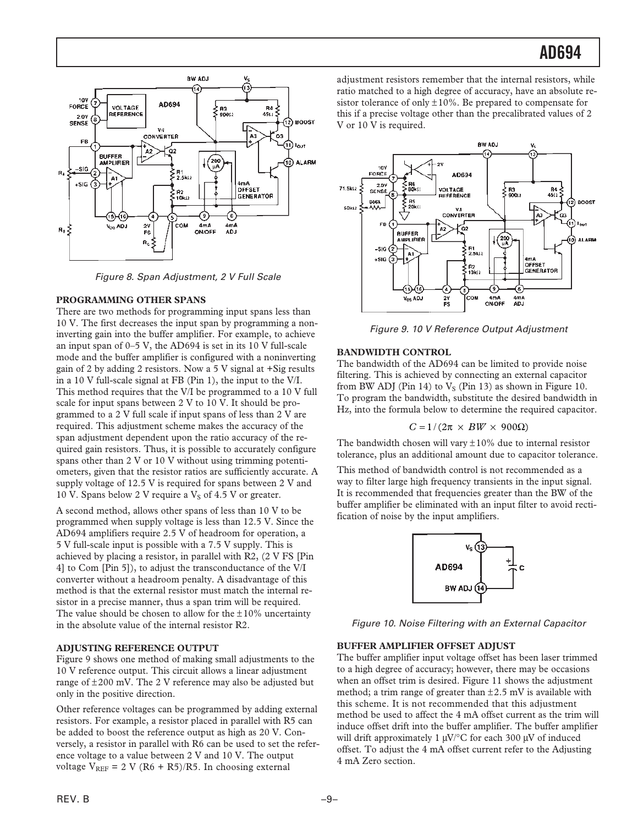

Figure 8. Span Adjustment, 2 V Full Scale

#### **PROGRAMMING OTHER SPANS**

There are two methods for programming input spans less than 10 V. The first decreases the input span by programming a noninverting gain into the buffer amplifier. For example, to achieve an input span of 0–5 V, the AD694 is set in its 10 V full-scale mode and the buffer amplifier is configured with a noninverting gain of 2 by adding 2 resistors. Now a 5 V signal at +Sig results in a 10 V full-scale signal at FB (Pin 1), the input to the V/I. This method requires that the V/I be programmed to a 10 V full scale for input spans between 2 V to 10 V. It should be programmed to a 2 V full scale if input spans of less than 2 V are required. This adjustment scheme makes the accuracy of the span adjustment dependent upon the ratio accuracy of the required gain resistors. Thus, it is possible to accurately configure spans other than 2 V or 10 V without using trimming potentiometers, given that the resistor ratios are sufficiently accurate. A supply voltage of 12.5 V is required for spans between 2 V and 10 V. Spans below 2 V require a  $V<sub>S</sub>$  of 4.5 V or greater.

A second method, allows other spans of less than 10 V to be programmed when supply voltage is less than 12.5 V. Since the AD694 amplifiers require 2.5 V of headroom for operation, a 5 V full-scale input is possible with a 7.5 V supply. This is achieved by placing a resistor, in parallel with R2, (2 V FS [Pin 4] to Com [Pin 5]), to adjust the transconductance of the V/I converter without a headroom penalty. A disadvantage of this method is that the external resistor must match the internal resistor in a precise manner, thus a span trim will be required. The value should be chosen to allow for the  $\pm 10\%$  uncertainty in the absolute value of the internal resistor R2.

#### **ADJUSTING REFERENCE OUTPUT**

Figure 9 shows one method of making small adjustments to the 10 V reference output. This circuit allows a linear adjustment range of  $\pm 200$  mV. The 2 V reference may also be adjusted but only in the positive direction.

Other reference voltages can be programmed by adding external resistors. For example, a resistor placed in parallel with R5 can be added to boost the reference output as high as 20 V. Conversely, a resistor in parallel with R6 can be used to set the reference voltage to a value between 2 V and 10 V. The output voltage  $V_{REF}$  = 2 V (R6 + R5)/R5. In choosing external

adjustment resistors remember that the internal resistors, while ratio matched to a high degree of accuracy, have an absolute resistor tolerance of only  $\pm 10\%$ . Be prepared to compensate for this if a precise voltage other than the precalibrated values of 2 V or 10 V is required.



Figure 9. 10 V Reference Output Adjustment

#### **BANDWIDTH CONTROL**

The bandwidth of the AD694 can be limited to provide noise filtering. This is achieved by connecting an external capacitor from BW ADJ (Pin 14) to  $V_S$  (Pin 13) as shown in Figure 10. To program the bandwidth, substitute the desired bandwidth in Hz, into the formula below to determine the required capacitor.

$$
C = 1/(2\pi \times BW \times 900\Omega)
$$

The bandwidth chosen will vary  $\pm 10\%$  due to internal resistor tolerance, plus an additional amount due to capacitor tolerance.

This method of bandwidth control is not recommended as a way to filter large high frequency transients in the input signal. It is recommended that frequencies greater than the BW of the buffer amplifier be eliminated with an input filter to avoid rectification of noise by the input amplifiers.



Figure 10. Noise Filtering with an External Capacitor

#### **BUFFER AMPLIFIER OFFSET ADJUST**

The buffer amplifier input voltage offset has been laser trimmed to a high degree of accuracy; however, there may be occasions when an offset trim is desired. Figure 11 shows the adjustment method; a trim range of greater than  $\pm 2.5$  mV is available with this scheme. It is not recommended that this adjustment method be used to affect the 4 mA offset current as the trim will induce offset drift into the buffer amplifier. The buffer amplifier will drift approximately 1  $\mu$ V/°C for each 300  $\mu$ V of induced offset. To adjust the 4 mA offset current refer to the Adjusting 4 mA Zero section.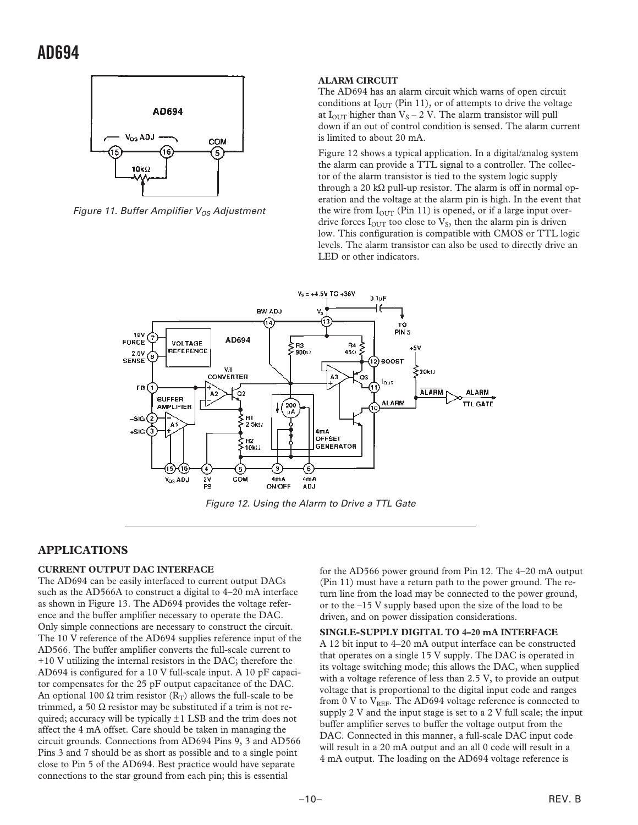

Figure 11. Buffer Amplifier  $V_{OS}$  Adjustment

#### **ALARM CIRCUIT**

The AD694 has an alarm circuit which warns of open circuit conditions at  $I_{\text{OUT}}$  (Pin 11), or of attempts to drive the voltage at  $I_{\text{OUT}}$  higher than  $V_S - 2$  V. The alarm transistor will pull down if an out of control condition is sensed. The alarm current is limited to about 20 mA.

Figure 12 shows a typical application. In a digital/analog system the alarm can provide a TTL signal to a controller. The collector of the alarm transistor is tied to the system logic supply through a 20 k $\Omega$  pull-up resistor. The alarm is off in normal operation and the voltage at the alarm pin is high. In the event that the wire from  $I_{\text{OUT}}$  (Pin 11) is opened, or if a large input overdrive forces  $I_{\text{OUT}}$  too close to  $V_{\text{S}}$ , then the alarm pin is driven low. This configuration is compatible with CMOS or TTL logic levels. The alarm transistor can also be used to directly drive an LED or other indicators.



Figure 12. Using the Alarm to Drive a TTL Gate

#### **APPLICATIONS**

#### **CURRENT OUTPUT DAC INTERFACE**

The AD694 can be easily interfaced to current output DACs such as the AD566A to construct a digital to 4–20 mA interface as shown in Figure 13. The AD694 provides the voltage reference and the buffer amplifier necessary to operate the DAC. Only simple connections are necessary to construct the circuit. The 10 V reference of the AD694 supplies reference input of the AD566. The buffer amplifier converts the full-scale current to +10 V utilizing the internal resistors in the DAC; therefore the AD694 is configured for a 10 V full-scale input. A 10 pF capacitor compensates for the 25 pF output capacitance of the DAC. An optional 100  $\Omega$  trim resistor ( $R_T$ ) allows the full-scale to be trimmed, a 50  $\Omega$  resistor may be substituted if a trim is not required; accuracy will be typically  $\pm 1$  LSB and the trim does not affect the 4 mA offset. Care should be taken in managing the circuit grounds. Connections from AD694 Pins 9, 3 and AD566 Pins 3 and 7 should be as short as possible and to a single point close to Pin 5 of the AD694. Best practice would have separate connections to the star ground from each pin; this is essential

for the AD566 power ground from Pin 12. The 4–20 mA output (Pin 11) must have a return path to the power ground. The return line from the load may be connected to the power ground, or to the –15 V supply based upon the size of the load to be driven, and on power dissipation considerations.

**SINGLE-SUPPLY DIGITAL TO 4–20 mA INTERFACE**

A 12 bit input to 4–20 mA output interface can be constructed that operates on a single 15 V supply. The DAC is operated in its voltage switching mode; this allows the DAC, when supplied with a voltage reference of less than 2.5 V, to provide an output voltage that is proportional to the digital input code and ranges from 0 V to  $V_{REF}$ . The AD694 voltage reference is connected to supply 2 V and the input stage is set to a 2 V full scale; the input buffer amplifier serves to buffer the voltage output from the DAC. Connected in this manner, a full-scale DAC input code will result in a 20 mA output and an all 0 code will result in a 4 mA output. The loading on the AD694 voltage reference is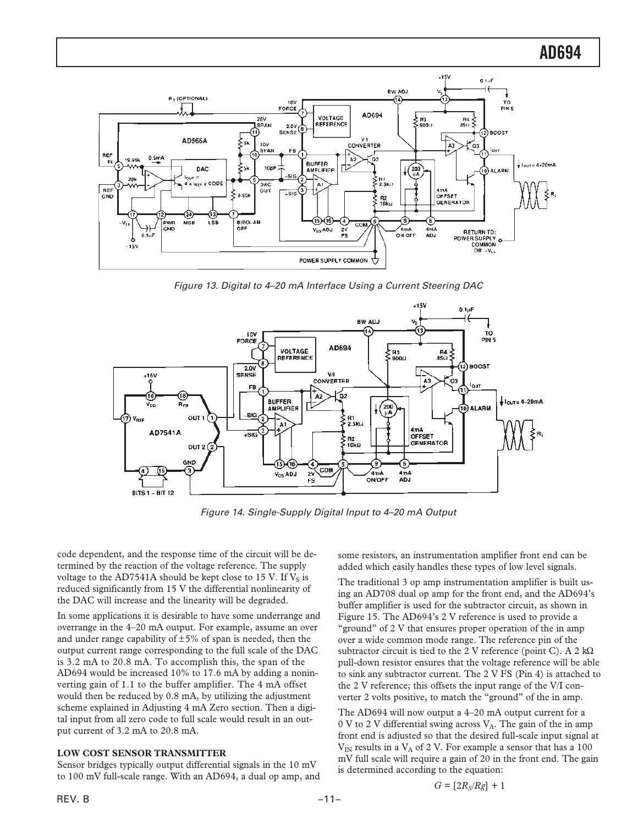

Figure 13. Digital to 4–20 mA Interface Using a Current Steering DAC



Figure 14. Single-Supply Digital Input to 4–20 mA Output

code dependent, and the response time of the circuit will be determined by the reaction of the voltage reference. The supply voltage to the AD7541A should be kept close to 15 V. If  $V_s$  is reduced significantly from 15 V the differential nonlinearity of the DAC will increase and the linearity will be degraded.

In some applications it is desirable to have some underrange and overrange in the 4–20 mA output. For example, assume an over and under range capability of  $\pm 5\%$  of span is needed, then the output current range corresponding to the full scale of the DAC is 3.2 mA to 20.8 mA. To accomplish this, the span of the AD694 would be increased 10% to 17.6 mA by adding a noninverting gain of 1.1 to the buffer amplifier. The 4 mA offset would then be reduced by 0.8 mA, by utilizing the adjustment scheme explained in Adjusting 4 mA Zero section. Then a digital input from all zero code to full scale would result in an output current of 3.2 mA to 20.8 mA.

#### **LOW COST SENSOR TRANSMITTER**

Sensor bridges typically output differential signals in the 10 mV to 100 mV full-scale range. With an AD694, a dual op amp, and some resistors, an instrumentation amplifier front end can be added which easily handles these types of low level signals.

The traditional 3 op amp instrumentation amplifier is built using an AD708 dual op amp for the front end, and the AD694's buffer amplifier is used for the subtractor circuit, as shown in Figure 15. The AD694's 2 V reference is used to provide a "ground" of 2 V that ensures proper operation of the in amp over a wide common mode range. The reference pin of the subtractor circuit is tied to the 2 V reference (point C). A 2 kΩ pull-down resistor ensures that the voltage reference will be able to sink any subtractor current. The 2 V FS (Pin 4) is attached to the 2 V reference; this offsets the input range of the V/I converter 2 volts positive, to match the "ground" of the in amp.

The AD694 will now output a 4–20 mA output current for a 0 V to 2 V differential swing across  $V_A$ . The gain of the in amp front end is adjusted so that the desired full-scale input signal at  $V_{IN}$  results in a  $V_A$  of 2 V. For example a sensor that has a 100 mV full scale will require a gain of 20 in the front end. The gain is determined according to the equation:

 $G = [2R_S/Rg] + 1$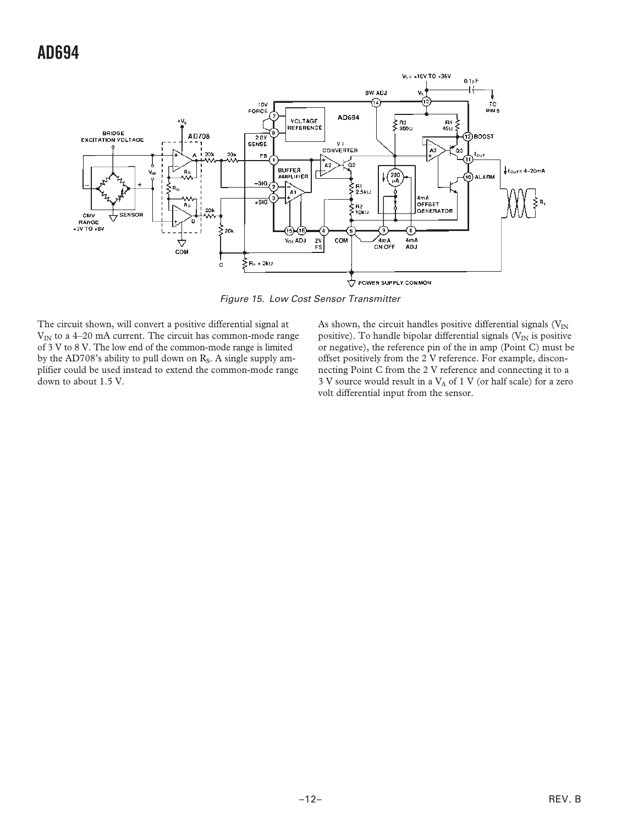

Figure 15. Low Cost Sensor Transmitter

The circuit shown, will convert a positive differential signal at  $V_{IN}$  to a 4–20 mA current. The circuit has common-mode range of 3 V to 8 V. The low end of the common-mode range is limited by the AD708's ability to pull down on  $R<sub>S</sub>$ . A single supply amplifier could be used instead to extend the common-mode range down to about 1.5 V.

As shown, the circuit handles positive differential signals ( $V_{IN}$ positive). To handle bipolar differential signals ( $V_{IN}$  is positive or negative), the reference pin of the in amp (Point C) must be offset positively from the 2 V reference. For example, disconnecting Point C from the 2 V reference and connecting it to a 3 V source would result in a  $V_A$  of 1 V (or half scale) for a zero volt differential input from the sensor.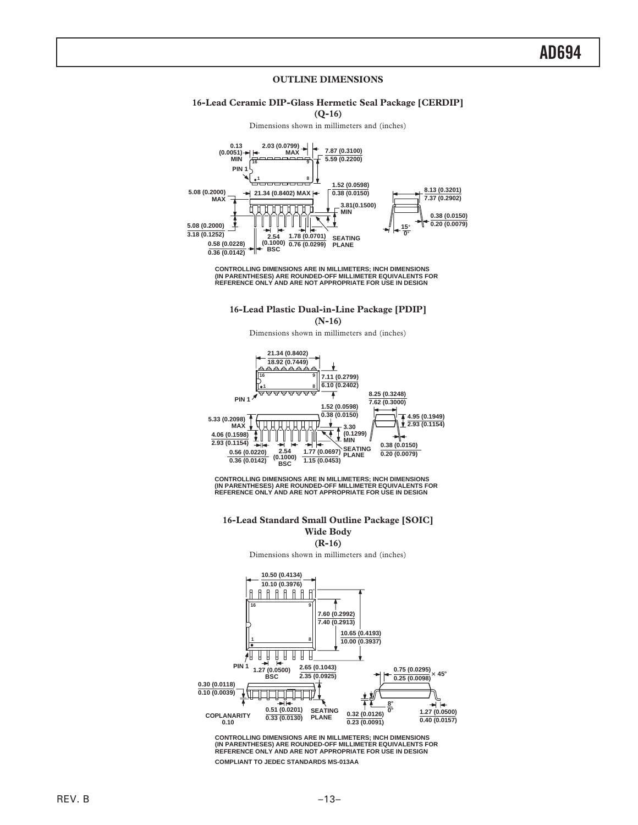#### **OUTLINE DIMENSIONS**

#### **16-Lead Ceramic DIP-Glass Hermetic Seal Package [CERDIP]**

**(Q-16)**

Dimensions shown in millimeters and (inches)



**CONTROLLING DIMENSIONS ARE IN MILLIMETERS; INCH DIMENSIONS (IN PARENTHESES) ARE ROUNDED-OFF MILLIMETER EQUIVALENTS FOR REFERENCE ONLY AND ARE NOT APPROPRIATE FOR USE IN DESIGN**

**16-Lead Plastic Dual-in-Line Package [PDIP] (N-16)**

Dimensions shown in millimeters and (inches)



**CONTROLLING DIMENSIONS ARE IN MILLIMETERS; INCH DIMENSIONS (IN PARENTHESES) ARE ROUNDED-OFF MILLIMETER EQUIVALENTS FOR REFERENCE ONLY AND ARE NOT APPROPRIATE FOR USE IN DESIGN**

#### **16-Lead Standard Small Outline Package [SOIC] Wide Body**

**(R-16)**

Dimensions shown in millimeters and (inches)



**CONTROLLING DIMENSIONS ARE IN MILLIMETERS; INCH DIMENSIONS (IN PARENTHESES) ARE ROUNDED-OFF MILLIMETER EQUIVALENTS FOR REFERENCE ONLY AND ARE NOT APPROPRIATE FOR USE IN DESIGN COMPLIANT TO JEDEC STANDARDS MS-013AA**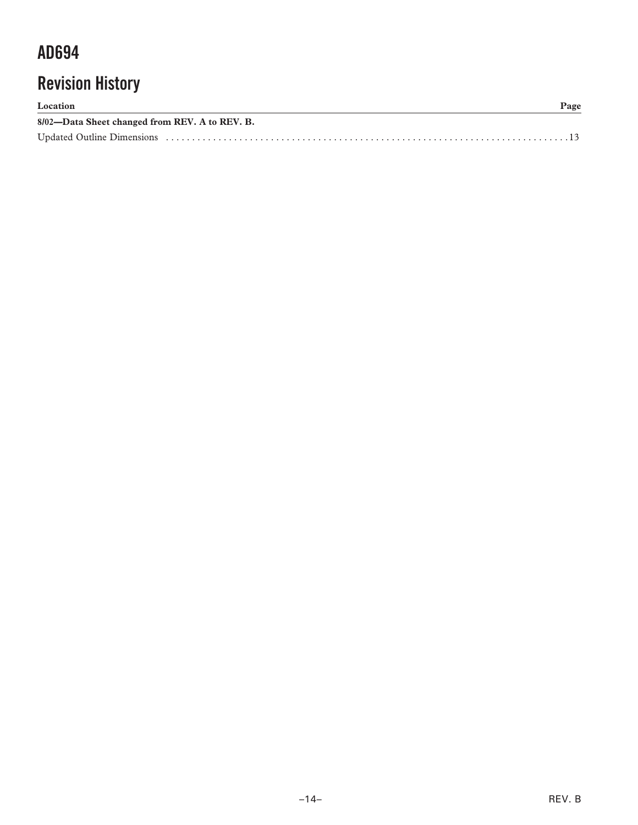# **Revision History**

| Location                                       | Page |
|------------------------------------------------|------|
| 8/02-Data Sheet changed from REV. A to REV. B. |      |
|                                                |      |